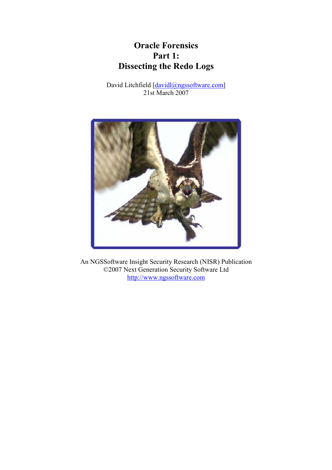# Oracle Forensics Part 1: Dissecting the Redo Logs

David Litchfield [davidl@ngssoftware.com] 21st March 2007



An NGSSoftware Insight Security Research (NISR) Publication ©2007 Next Generation Security Software Ltd http://www.ngssoftware.com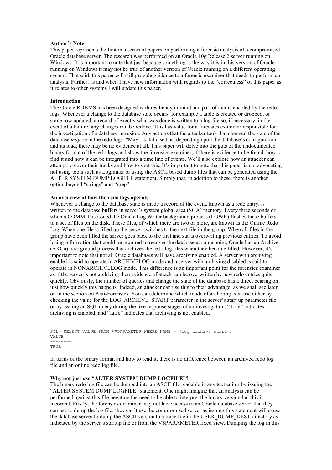## Author's Note

This paper represents the first in a series of papers on performing a forensic analysis of a compromised Oracle database server. The research was performed on an Oracle 10g Release 2 server running on Windows. It is important to note that just because something is the way it is in this version of Oracle running on Windows it may not be true of another version of Oracle running on a different operating system. That said, this paper will still provide guidance to a forensic examiner that needs to perform an analysis. Further, as and when I have new information with regards to the "correctness" of this paper as it relates to other systems I will update this paper.

#### Introduction

The Oracle RDBMS has been designed with resiliency in mind and part of that is enabled by the redo logs. Whenever a change to the database state occurs, for example a table is created or dropped, or some row updated, a record of exactly what was done is written to a log file so, if necessary, in the event of a failure, any changes can be redone. This has value for a forensics examiner responsible for the investigation of a database intrusion. Any actions that the attacker took that changed the state of the database  $m$ ay be in the redo logs. "May" is italicised as, depending upon the database's configuration and its load, there may be no evidence at all. This paper will delve into the guts of the undocumented binary format of the redo logs and show the forensics examiner, if there is evidence to be found, how to find it and how it can be integrated into a time line of events. We'll also explore how an attacker can attempt to cover their tracks and how to spot this. It's important to note that this paper is not advocating not using tools such as Logminer or using the ASCII based dump files that can be generated using the ALTER SYSTEM DUMP LOGFILE statement. Simply that, in addition to these, there is another option beyond "strings" and "grep".

## An overview of how the redo logs operate

Whenever a change to the database state is made a record of the event, known as a redo entry, is written to the database buffers in server's system global area (SGA) memory. Every three seconds or when a COMMIT is issued the Oracle Log Writer background process (LGWR) flushes these buffers to a set of files on the disk. These files, of which there are two or more, are known as the Online Redo Log. When one file is filled up the server switches to the next file in the group. When all files in the group have been filled the server goes back to the first and starts overwriting previous entries. To avoid losing information that could be required to recover the database at some point, Oracle has an Archive (ARCn) background process that archives the redo log files when they become filled. However, it's important to note that not all Oracle databases will have archiving enabled. A server with archiving enabled is said to operate in ARCHIVELOG mode and a server with archiving disabled is said to operate in NONARCHIVELOG mode. This difference is an important point for the forensics examiner as if the server is not archiving then evidence of attack can be overwritten by new redo entries quite quickly. Obviously, the number of queries that change the state of the database has a direct bearing on just how quickly this happens. Indeed, an attacker can use this to their advantage, as we shall see later on in the section on Anti-Forensics. You can determine which mode of archiving is in use either by checking the value for the LOG\_ARCHIVE\_START parameter in the server's start up parameter file or by issuing an SQL query during the live response stages of an investigation. "True" indicates archiving is enabled, and "false" indicates that archiving is not enabled.

```
SQL> SELECT VALUE FROM V$PARAMETER WHERE NAME = 'log archive start';
VALUE 
-------- 
TRUE
```
In terms of the binary format and how to read it, there is no difference between an archived redo log file and an online redo log file.

# Why not just use "ALTER SYSTEM DUMP LOGFILE"?

The binary redo log file can be dumped into an ASCII file readable in any text editor by issuing the "ALTER SYSTEM DUMP LOGFILE" statement. One might imagine that an analysis can be performed against this file negating the need to be able to interpret the binary version but this is incorrect. Firstly, the forensics examiner may not have access to an Oracle database server that they can use to dump the log file; they can't use the compromised server as issuing this statement will cause the database server to dump the ASCII version to a trace file in the USER\_DUMP\_DEST directory as indicated by the server's startup file or from the V\$PARAMETER fixed view. Dumping the log in this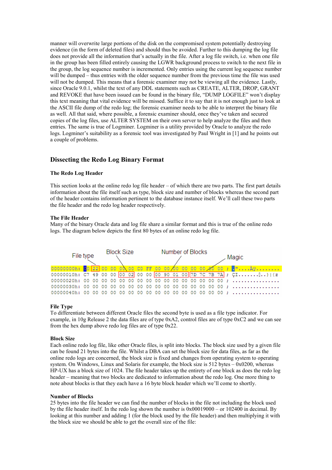manner will overwrite large portions of the disk on the compromised system potentially destroying evidence (in the form of deleted files) and should thus be avoided. Further to this dumping the log file does not provide all the information that's actually in the file. After a log file switch, i.e. when one file in the group has been filled entirely causing the LGWR background process to switch to the next file in the group, the log sequence number is incremented. Only entries using the current log sequence number will be dumped – thus entries with the older sequence number from the previous time the file was used will not be dumped. This means that a forensic examiner may not be viewing all the evidence. Lastly, since Oracle 9.0.1, whilst the text of any DDL statements such as CREATE, ALTER, DROP, GRANT and REVOKE that have been issued can be found in the binary file, "DUMP LOGFILE" won't display this text meaning that vital evidence will be missed. Suffice it to say that it is not enough just to look at the ASCII file dump of the redo log; the forensic examiner needs to be able to interpret the binary file as well. All that said, where possible, a forensic examiner should, once they've taken and secured copies of the log files, use ALTER SYSTEM on their own server to help analyze the files and then entries. The same is true of Logminer. Logminer is a utility provided by Oracle to analyze the redo logs. Logminer's suitability as a forensic tool was investigated by Paul Wright in [1] and he points out a couple of problems.

# Dissecting the Redo Log Binary Format

#### The Redo Log Header

This section looks at the online redo log file header – of which there are two parts. The first part details information about the file itself such as type, block size and number of blocks whereas the second part of the header contains information pertinent to the database instance itself. We'll call these two parts the file header and the redo log header respectively.

#### The File Header

Many of the binary Oracle data and log file share a similar format and this is true of the online redo logs. The diagram below depicts the first 80 bytes of an online redo log file.

| File type |  | <b>Block Size</b> |  |  |  |  | Number of Blocks | . Magic |  |  |  |  |
|-----------|--|-------------------|--|--|--|--|------------------|---------|--|--|--|--|
|           |  |                   |  |  |  |  |                  |         |  |  |  |  |
|           |  |                   |  |  |  |  |                  |         |  |  |  |  |
|           |  |                   |  |  |  |  |                  |         |  |  |  |  |
|           |  |                   |  |  |  |  |                  |         |  |  |  |  |
|           |  |                   |  |  |  |  |                  |         |  |  |  |  |

#### File Type

To differentiate between different Oracle files the second byte is used as a file type indicator. For example, in 10g Release 2 the data files are of type 0xA2, control files are of type 0xC2 and we can see from the hex dump above redo log files are of type 0x22.

#### Block Size

Each online redo log file, like other Oracle files, is split into blocks. The block size used by a given file can be found 21 bytes into the file. Whilst a DBA can set the block size for data files, as far as the online redo logs are concerned, the block size is fixed and changes from operating system to operating system. On Windows, Linux and Solaris for example, the block size is 512 bytes – 0x0200, whereas HP-UX has a block size of 1024. The file header takes up the entirety of one block as does the redo log header – meaning that two blocks are dedicated to information about the redo log. One more thing to note about blocks is that they each have a 16 byte block header which we'll come to shortly.

## Number of Blocks

25 bytes into the file header we can find the number of blocks in the file not including the block used by the file header itself. In the redo log shown the number is 0x00019000 – or 102400 in decimal. By looking at this number and adding 1 (for the block used by the file header) and then multiplying it with the block size we should be able to get the overall size of the file: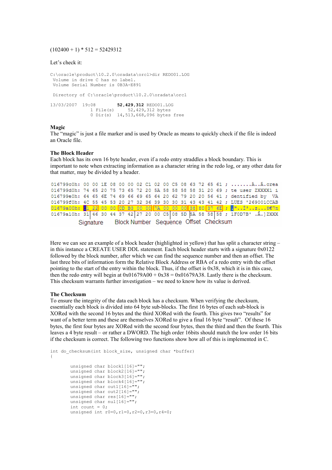#### $(102400 + 1) * 512 = 52429312$

#### Let's check it:

```
C:\oracle\product\10.2.0\oradata\orcl>dir REDO01.LOG 
 Volume in drive C has no label. 
 Volume Serial Number is 0B3A-E891 
Directory of C:\oracle\product\10.2.0\oradata\orcl
13/03/2007 19:08 52,429,312 REDO01.LOG 
 1 File(s) 52,429,312 bytes 
 0 Dir(s) 14,513,668,096 bytes free
```
#### Magic

The "magic" is just a file marker and is used by Oracle as means to quickly check if the file is indeed an Oracle file.

#### The Block Header

Each block has its own 16 byte header, even if a redo entry straddles a block boundary. This is important to note when extracting information as a character string in the redo log, or any other data for that matter, may be divided by a header.

|                                                 |  |  |  |  |  |  |  |  |  |  |  |  |  | 016799c0h: 00 00 1E 08 00 00 02 C1 02 00 C5 08 63 72 65 61 ;  A. . A. crea     |
|-------------------------------------------------|--|--|--|--|--|--|--|--|--|--|--|--|--|--------------------------------------------------------------------------------|
|                                                 |  |  |  |  |  |  |  |  |  |  |  |  |  | 016799d0h: 74 65 20 75 73 65 72 20 5A 58 58 58 58 31 20 69 ; te user ZXXXX1 i  |
|                                                 |  |  |  |  |  |  |  |  |  |  |  |  |  | 016799e0h: 64 65 6E 74 69 66 69 65 64 20 62 79 20 20 56 41 ; dentified by VA   |
|                                                 |  |  |  |  |  |  |  |  |  |  |  |  |  | 016799f0h: 4C 55 45 53 20 27 32 36 39 30 30 31 43 43 41 42 ; LUES '269001CCAB  |
|                                                 |  |  |  |  |  |  |  |  |  |  |  |  |  | $01679800$ h: $01/22/00/00$ CD B3 00 00 7A 00 00 00 00 38 80 37 6E ; ."1 867n  |
|                                                 |  |  |  |  |  |  |  |  |  |  |  |  |  | 01679a10h: 31 46 30 44 37 42 27 20 00 C5 08 5D 5A 58 58 58 ; 1F0D7B' .Å. 1ZXXX |
| Signature Block Number Sequence Offset Checksum |  |  |  |  |  |  |  |  |  |  |  |  |  |                                                                                |

Here we can see an example of a block header (highlighted in yellow) that has split a character string – in this instance a CREATE USER DDL statement. Each block header starts with a signature 0x0122 followed by the block number, after which we can find the sequence number and then an offset. The last three bits of information form the Relative Block Address or RBA of a redo entry with the offset pointing to the start of the entry within the block. Thus, if the offset is 0x38, which it is in this case, then the redo entry will begin at  $0x01679A00 + 0x38 = 0x01679A38$ . Lastly there is the checksum. This checksum warrants further investigation – we need to know how its value is derived.

## The Checksum

To ensure the integrity of the data each block has a checksum. When verifying the checksum, essentially each block is divided into 64 byte sub-blocks. The first 16 bytes of each sub-block is XORed with the second 16 bytes and the third XORed with the fourth. This gives two "results" for want of a better term and these are themselves XORed to give a final 16 byte "result". Of these 16 bytes, the first four bytes are XORed with the second four bytes, then the third and then the fourth. This leaves a 4 byte result – or rather a DWORD. The high order 16bits should match the low order 16 bits if the checksum is correct. The following two functions show how all of this is implemented in C.

```
int do checksum(int block size, unsigned char *buffer)
{ 
       unsigned char block1[16]="";
       unsigned char block2[16]="";
       unsigned char block3[16]="";
       unsigned char block4[16]="";
       unsigned char out1[16]="";
       unsigned char out2[16]="";
       unsigned char res[16]="";
       unsigned char nul[16]="";
       int count = 0; unsigned int r0=0,r1=0,r2=0,r3=0,r4=0;
```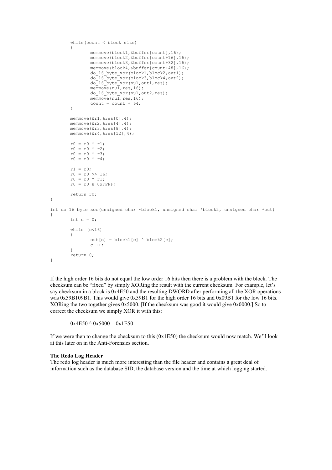```
while(count < block size)
\left\{ \begin{array}{cc} 0 & 0 \\ 0 & 0 \end{array} \right. memmove(block1,&buffer[count],16); 
                   memmove(block2,&buffer[count+16],16); 
                   memmove(block3,&buffer[count+32],16); 
                   memmove(block4,&buffer[count+48],16); 
                   do_16_byte_xor(block1,block2,out1); 
                  \overline{d}do\overline{16} byte xor(block3, block4, out2);
                  \overline{\text{do}} 16 byte xor(nul, out1, res);
                  memmove (nul, res, 16);
                  do 16 byte xor(nul, out2, res);
                  memmove (nul, res, 16);
                  count = count + 64;
          } 
          memmove(&r1,&res[0],4); 
          memmove(&r2,&res[4],4); 
          memmove(&r3,&res[8],4); 
         memmove(&r4,&res[12],4); 
         r0 = r0 ^ r1;
         r0 = r0 ^ r2;r0 = r0 \land r3;
         r0 = r0 ^ r4;
         r1 = r0;r0 = r0 \gg 16;
         r0 = r0 ^ r1;
         r0 = r0 & 0 \times FFFF; return r0; 
} 
int do 16 byte xor(unsigned char *block1, unsigned char *block2, unsigned char *out)
{ 
         int c = 0;
          while (c<16) 
          { 
                  out[c] = block1[c] \land block2[c];c + +; } 
          return 0; 
}
```
If the high order 16 bits do not equal the low order 16 bits then there is a problem with the block. The checksum can be "fixed" by simply XORing the result with the current checksum. For example, let's say checksum in a block is 0x4E50 and the resulting DWORD after performing all the XOR operations was 0x59B109B1. This would give 0x59B1 for the high order 16 bits and 0x09B1 for the low 16 bits. XORing the two together gives 0x5000. [If the checksum was good it would give 0x0000.] So to correct the checksum we simply XOR it with this:

 $0x4E50 \land 0x5000 = 0x1E50$ 

If we were then to change the checksum to this  $(0x1E50)$  the checksum would now match. We'll look at this later on in the Anti-Forensics section.

#### The Redo Log Header

The redo log header is much more interesting than the file header and contains a great deal of information such as the database SID, the database version and the time at which logging started.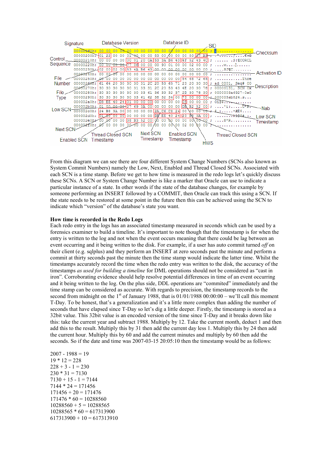

From this diagram we can see there are four different System Change Numbers (SCNs also known as System Commit Numbers) namely the Low, Next, Enabled and Thread Closed SCNs. Associated with each SCN is a time stamp. Before we get to how time is measured in the redo logs let's quickly discuss these SCNs. A SCN or System Change Number is like a marker that Oracle can use to indicate a particular instance of a state. In other words if the state of the database changes, for example by someone performing an INSERT followed by a COMMIT, then Oracle can track this using a SCN. If the state needs to be restored at some point in the future then this can be achieved using the SCN to indicate which "version" of the database's state you want.

## How time is recorded in the Redo Logs

Each redo entry in the logs has an associated timestamp measured in seconds which can be used by a forensics examiner to build a timeline. It's important to note though that the timestamp is for when the entry is written to the log and not when the event occurs meaning that there could be lag between an event occurring and it being written to the disk. For example, if a user has auto commit turned *off* on their client (e.g. sqlplus) and they perform an INSERT at zero seconds past the minute and perform a commit at thirty seconds past the minute then the time stamp would indicate the latter time. Whilst the timestamps accurately record the time when the redo entry was written to the disk, the accuracy of the timestamps as used for building a timeline for DML operations should not be considered as "cast in iron". Corroborating evidence should help resolve potential differences in time of an event occurring and it being written to the log. On the plus side, DDL operations are "commited" immediately and the time stamp can be considered as accurate. With regards to precision, the timestamp records to the second from midnight on the 1<sup>st</sup> of January 1988, that is  $01/01/1988 00:00:00 -$  we'll call this moment T-Day. To be honest, that's a generalization and it's a little more complex than adding the number of seconds that have elapsed since T-Day so let's dig a little deeper. Firstly, the timestamp is stored as a 32bit value. This 32bit value is an encoded version of the time since T-Day and it breaks down like this: take the current year and subtract 1988. Multiply by 12. Take the current month, deduct 1 and then add this to the result. Multiply this by 31 then add the current day less 1. Multiply this by 24 then add the current hour. Multiply this by 60 and add the current minutes and multiply by 60 then add the seconds. So if the date and time was 2007-03-15 20:05:10 then the timestamp would be as follows:

 $2007 - 1988 = 19$  $19 * 12 = 228$  $228 + 3 - 1 = 230$  $230 * 31 = 7130$  $7130 + 15 - 1 = 7144$  $7144 * 24 = 171456$  $171456 + 20 = 171476$  $171476 * 60 = 10288560$  $10288560 + 5 = 10288565$  $10288565 * 60 = 617313900$  $617313900 + 10 = 617313910$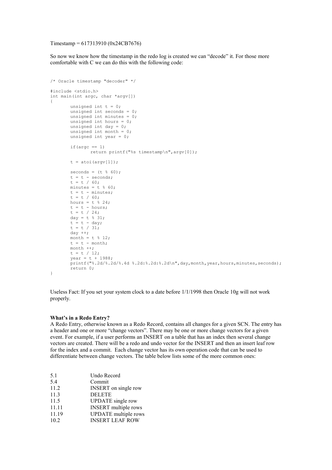Timestamp = 617313910 (0x24CB7676)

So now we know how the timestamp in the redo log is created we can "decode" it. For those more comfortable with C we can do this with the following code:

```
/* Oracle timestamp "decoder" */ 
#include <stdio.h> 
int main(int argc, char *argv[]) 
{ 
       unsigned int t = 0;
        unsigned int seconds = 0; 
        unsigned int minutes = 0; 
        unsigned int hours = 0; 
       unsigned int day = 0;
       unsigned int month = 0;
       unsigned int year = 0;
       if(arge == 1)return printf("%s timestamp\n",argv[0]); 
       t = \text{atoi}(\text{argv}[1]);seconds = (t % 60);t = t - seconds;t = t / 60;minutes = t % 60;
       t = t - minutes;t = t / 60;
       hours = t \div 24;
       t = t - hours;t = t / 24;
       day = t % 31;
t = t - day;t = t / 31; day ++; 
       month = t % 12;
       t = t - month; month ++; 
       t = t / 12;
        year = t + 1988; 
        printf("%.2d/%.2d/%.4d %.2d:%.2d:%.2d\n",day,month,year,hours,minutes,seconds); 
        return 0; 
}
```
Useless Fact: If you set your system clock to a date before 1/1/1998 then Oracle 10g will not work properly.

#### What's in a Redo Entry?

A Redo Entry, otherwise known as a Redo Record, contains all changes for a given SCN. The entry has a header and one or more "change vectors". There may be one or more change vectors for a given event. For example, if a user performs an INSERT on a table that has an index then several change vectors are created. There will be a redo and undo vector for the INSERT and then an insert leaf row for the index and a commit. Each change vector has its own operation code that can be used to differentiate between change vectors. The table below lists some of the more common ones:

| Undo Record                 |
|-----------------------------|
| Commit                      |
| <b>INSERT</b> on single row |
| <b>DELETE</b>               |
| <b>UPDATE</b> single row    |
| <b>INSERT</b> multiple rows |
| <b>UPDATE</b> multiple rows |
| <b>INSERT LEAF ROW</b>      |
|                             |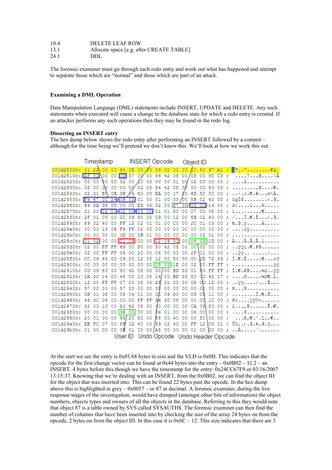| 10.4 | DELETE LEAF ROW                          |
|------|------------------------------------------|
| 13.1 | Allocate space [e.g. after CREATE TABLE] |
| 24.1 | DDL.                                     |

The forensic examiner must go through each redo entry and work out what has happened and attempt to separate those which are "normal" and those which are part of an attack.

# Examining a DML Operation

Data Manipulation Language (DML) statements include INSERT, UPDATE and DELETE. Any such statements when executed will cause a change to the database state for which a redo entry is created. If an attacker performs any such operations then they may be found in the redo log.

# Dissecting an INSERT entry

The hex dump below shows the redo entry after performing an INSERT followed by a commit – although for the time being we'll pretend we don't know this. We'll look at how we work this out.

|  |  |  |  |                                        |  |  |  |  |  | 001d2800h: 01 22 00 00 94 0E 00 20 03 00 00 00 20 80 67 A1; .""€g;                                     |
|--|--|--|--|----------------------------------------|--|--|--|--|--|--------------------------------------------------------------------------------------------------------|
|  |  |  |  |                                        |  |  |  |  |  | 001d2810h: <u>A8 01</u> \00 00 0D 37 00 00 84 42 08 00 05 00 5C C3; 7B\A                               |
|  |  |  |  |                                        |  |  |  |  |  | 001d2820h: 00 00 00 00 32 00 $\chi$ 0 00 00 00 01 00 02 00 00 00 ; 2                                   |
|  |  |  |  |                                        |  |  |  |  |  | $0.01$ d2830h: 02 00 00 00 00 00 02 00 84 42 08 0β 00 00 80 00 ; ,B€.                                  |
|  |  |  |  |                                        |  |  |  |  |  | 001d2840h: 02 01 B 3 0B 3 B 69 80 00 EA 00 17 00 6D 5C C0 00 ; , $\varepsilon.\hat{e}$ m \ $\lambda$ . |
|  |  |  |  |                                        |  |  |  |  |  |                                                                                                        |
|  |  |  |  |                                        |  |  |  |  |  | 001d2860h: 64 3A 08 00 00 00 ED 00 02 00 57 00 00 00 14 00 ; d:iW                                      |
|  |  |  |  |                                        |  |  |  |  |  | 001d2870h: 31 00 02 00 02 00 03 00 01 01 80 00 07 00 08 00 ; 1€                                        |
|  |  |  |  |                                        |  |  |  |  |  | 001d2880h: 2F 01 00 00 CC 09 80 00 C9 00 12 00 8B 02 40 00 ; / Ì.€. É<. @.                             |
|  |  |  |  |                                        |  |  |  |  |  | 001d2890h: 89 02 40 00 FF 12 02 01 01 00 C0 00 2C 01 03 00 ; %. @. y A.,                               |
|  |  |  |  |                                        |  |  |  |  |  | 001d28a0h: 00 00 13 06 F9 FF 02 00 00 00 00 00 00 00 00 00 ;  , uy                                     |
|  |  |  |  |                                        |  |  |  |  |  | 001d28b0h: 00 00 00 00 0D 00 0B 01 00 00 00 00 00 02 01 00 ;                                           |
|  |  |  |  |                                        |  |  |  |  |  | 001d28c0h: C1 02 00 00 C1 05 C0 00 C2 09 31 00 05 02 1D 00 ; ÁÁ.À.Â.1                                  |
|  |  |  |  |                                        |  |  |  |  |  | 001d28d0h: 02 00 FF FF 69 00 80 00 50 42 08 00 00 00 00 00 ;  001. E. PB                               |
|  |  |  |  |                                        |  |  |  |  |  | 001d28e0h: 02 00 FF FF 04 00 20 00 08 00 00 00 2F 01 00 00 ;  yy /                                     |
|  |  |  |  |                                        |  |  |  |  |  | 001d28f0h: CC 09 80 00 C9 00 12 00 12 00 80 00 00 2E 72 33 ; Ì.€.É€r3                                  |
|  |  |  |  |                                        |  |  |  |  |  | 001d2900h: 00 00 00 00 00 00 00 00 05 01 1E 00 02 00 FF FF ;                                           |
|  |  |  |  |                                        |  |  |  |  |  | 001d2910h: CC 09 80 00 50 42 08 00 00 00 BD 33 01 00 FF FF ; Ì.€.PB143ÿÿ                               |
|  |  |  |  |                                        |  |  |  |  |  | 001d2920h: 0A 00 14 00 48 00 1C 00 14 00 BD 33 80 00 4C 17 ; H *3€.L.                                  |
|  |  |  |  |                                        |  |  |  |  |  | 001d2930h: 12 00 FF FF 07 00 08 00 2H 01 00 00 C9 00 12 00 ;  00/ É                                    |
|  |  |  |  |                                        |  |  |  |  |  |                                                                                                        |
|  |  |  |  |                                        |  |  |  |  |  |                                                                                                        |
|  |  |  |  |                                        |  |  |  |  |  | 001d2960h: 48 3C 08 00 00 00 FF FF 56 3C 08 00 00 0d 1C 00 ; H< 99V<                                   |
|  |  |  |  |                                        |  |  |  |  |  | 001d2970h: 32 00 10 00 82 42 08 00 00 00 00 00 CA 09 80 00 ; 2,B È.€.                                  |
|  |  |  |  |                                        |  |  |  |  |  | 001d2980h: 00 00 00 00 00 00 00 00 04 01 00 00 06 00 00 00 ; 6                                         |
|  |  |  |  |                                        |  |  |  |  |  | 001d2990h: 20 01 00 00 58/2C 80 00 88 00 4C 00 00 80\00 00 ; X,€.^.L€                                  |
|  |  |  |  |                                        |  |  |  |  |  | 001d29a0h: DB FC 07 00 8B 02 40 00 89 02 40 00 FF 12 03 01 ; Uti@.%.@.y                                |
|  |  |  |  |                                        |  |  |  |  |  | 001d29b0h: 01 00 00 00 03 01 00 00 as 00 00 00 01 00 00 00 ; A"                                        |
|  |  |  |  | User ID Undo Opcode Undo Header Opcode |  |  |  |  |  |                                                                                                        |

At the start we see the entry is 0x01A8 bytes in size and the VLD is 0x0D. This indicates that the opcode for the first change vector can be found at  $0x44$  bytes into the entry –  $0x0B02 - 11.2$  – an INSERT. 4 bytes before this though we have the timestamp for the entry: 0x24CC67F9 or 03/16/2007 13:15:37. Knowing that we're dealing with an INSERT, from the 0x0B02, we can find the object ID for the object that was inserted into. This can be found 22 bytes past the opcode. In the hex dump above this is highlighted in grey –  $0x0057$  – or 87 in decimal. A forensic examiner, during the live response stages of the investigation, would have dumped (amongst other bits of information) the object numbers, objects types and owners of all the objects in the database. Referring to this they would note that object 87 is a table owned by SYS called SYSAUTH\$. The forensic examiner can then find the number of columns that have been inserted into by checking the size of the array 24 bytes on from the opcode, 2 bytes on from the object ID. In this case it is  $0 \times 0 \times 12$ . This size indicates that there are 3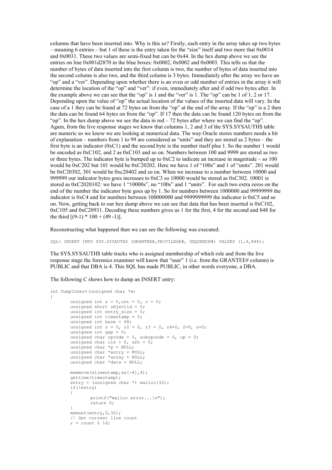columns that have been inserted into. Why is this so? Firstly, each entry in the array takes up two bytes – meaning 6 entries – but 1 of these is the entry taken for the "size" itself and two more that 0x0014 and 0x0031. These two values are semi-fixed but can be 0x44. In the hex dump above we see the entries on line 0x001d2870 in the blue boxes: 0x0002, 0x0002 and 0x0003. This tells us that the number of bytes of data inserted into the first column is two, the number of bytes of data inserted into the second column is also two, and the third column is 3 bytes. Immediately after the array we have an "op" and a "ver". Depending upon whether there is an even or odd number of entries in the array it will determine the location of the "op" and "ver": if even, immediately after and if odd two bytes after. In the example above we can see that the "op" is 1 and the "ver" is 1. The "op" can be 1 of 1, 2 or 17. Depending upon the value of "op" the actual location of the values of the inserted data will vary. In the case of a 1 they can be found at 72 bytes on from the "op" at the end of the array. If the "op" is a 2 then the data can be found 64 bytes on from the "op". If 17 then the data can be found 120 bytes on from the "op". In the hex dump above we see the data in red – 72 bytes after where we can find the "op". Again, from the live response stages we know that columns 1, 2 and 3 of the SYS.SYSAUTH\$ table are numeric so we know we are looking at numerical data. The way Oracle stores numbers needs a bit of explanation – numbers from 1 to 99 are considered as "units" and they are stored as 2 bytes – the first byte is an indicator  $(0xC1)$  and the second byte is the number itself plus 1. So the number 1 would be encoded as 0xC102, and 2 as 0xC103 and so on. Numbers between 100 and 9999 are stored as two or three bytes. The indicator byte is bumped up to 0xC2 to indicate an increase in magnitude – so 100 would be 0xC202 but 101 would be 0xC20202. Here we have 1 of "100s" and 1 of "units". 201 would be 0xC20302, 301 would be 0xc20402 and so on. When we increase to a number between 10000 and 999999 our indicator bytes goes increases to 0xC3 so 10000 would be stored as 0xC302. 10001 is stored as  $0 \times C2020102$ : we have 1 "10000s", no "100s" and 1 "units". For each two extra zeros on the end of the number the indicator byte goes up by 1. So for numbers between 1000000 and 99999999 the indicator is 0xC4 and for numbers between 100000000 and 9999999999 the indicator is 0xC5 and so on. Now, getting back to our hex dump above we can see that data that has been inserted is 0xC102, 0xC105 and 0xC20931. Decoding these numbers gives us 1 for the first, 4 for the second and 848 for the third  $[(9-1) * 100 + (49-1)].$ 

Reconstructing what happened then we can see the following was executed:

SQL> INSERT INTO SYS.SYSAUTH\$ (GRANTEE#,PRIVILEGE#, SEQUENCE#) VALUES (1,4,848);

The SYS.SYSAUTH\$ table tracks who is assigned membership of which role and from the live response stage the forensics examiner will know that "user" 1 (i.e. from the GRANTEE# column) is PUBLIC and that DBA is 4. This SQL has made PUBLIC, in other words everyone, a DBA.

The following C shows how to dump an INSERT entry:

```
int DumpInsert(unsigned char *e) 
{ 
       unsigned int s = 0, cnt = 0, c = 0;
        unsigned short objectid = 0; 
       unsigned int entry size = 0;unsigned int timestamp = 0;
       unsigned int base = 68;
       unsigned int r = 0, r2 = 0, r3 = 0, r4=0, f=0, n=0;
       unsigned int gap = 0;
       unsigned char opcode = 0, subopcode = 0, op = 0;
 unsigned char cls = 0, afn = 0; 
 unsigned char *p = NULL; 
       unsigned char *entry = NULL;
        unsigned char *array = NULL; 
       unsigned char *data = NULL;memmove(\&timetimestamp, \&e[-4], 4);
        gettime(timestamp); 
       entrv = (unsinned char *) malloc(32); if(!entry) 
        { 
                printf("malloc error...\n"); 
                return 0; 
 } 
        memset(entry,0,32); 
        // Get current line count 
       r = count % 16;
```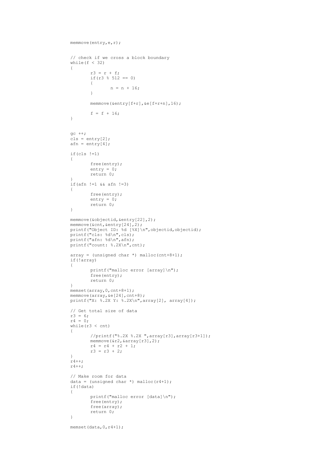```
memmove(entry,e,r);
         // check if we cross a block boundary 
        while(f < 32)
\left\{ \begin{array}{cc} 0 & 0 \\ 0 & 0 \end{array} \right. r3 = r + f; 
                if(r3 \frac{6}{3} 512 == 0)
                 { 
                        n = n + 16;
                 } 
                 memmove(&entry[f+r],&e[f+r+n],16); 
                f = f + 16;
         } 
        gc ++; 
cls = entry[2];afn = entry[4]; if(cls !=1) 
         { 
                 free(entry); 
entry = 0;
 return 0; 
 } 
         if(afn !=1 && afn !=3) 
         { 
                 free(entry); 
                entry = 0;
                return 0; 
         } 
        memmove(&objectid,&entry[22],2); 
        memmove(&cnt,&entry[24],2); 
 printf("Object ID: %d [%X]\n",objectid,objectid); 
 printf("cls: %d\n",cls); 
       printf("afn: %d\n", afn);
        printf("count: %.2X\n",cnt); 
       array = (unsigned char *) malloc(cnt+8+1);
         if(!array) 
         { 
                 printf("malloc error [array]\n"); 
                free(entry);
                 return 0; 
         } 
       memset(array, 0, cnt+8+1);
       memmove(array, &e[24], cnt+8);
        printf("X: %.2X Y: %.2X\n",array[2], array[4]); 
         // Get total size of data 
       r3 = 6;r4 = 0;while(r3 < \text{cnt})
\left\{ \begin{array}{cc} 0 & 0 \\ 0 & 0 \end{array} \right. //printf("%.2X %.2X ",array[r3],array[r3+1]); 
                 memmove(&r2,&array[r3],2); 
                r4 = r4 + r2 + 1;r3 = r3 + 2; } 
         r4++; 
         r4++; 
         // Make room for data 
       data = (unsigned char *) malloc(r4+1);
         if(!data) 
         { 
                 printf("malloc error [data]\n"); 
                free(entry);
                 free(array); 
                 return 0; 
         } 
       memset(data, 0, r4+1);
```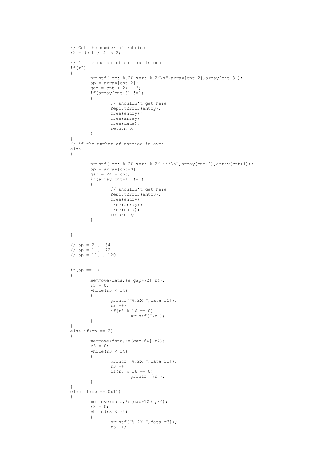```
 // Get the number of entries 
r2 = (cnt / 2) % // If the number of entries is odd 
       if(r2)
        { 
               printf("op: %.2X ver: %.2X\n",array[cnt+2],array[cnt+3]); 
              op = array[cnt+2];gap = cnt + 24 + 2; if(array[cnt+3] !=1) 
{ } // shouldn't get here 
                      ReportError(entry);
                       free(entry); 
                       free(array); 
                       free(data); 
              return 0;<br>}
 } 
        } 
        // if the number of entries is even 
        else 
        { 
              printf("op: %.2X ver: %.2X ***\n",array[cnt+0],array[cnt+1]);
              op = array[cnt+0];qap = 24 + cnt; if(array[cnt+1] !=1) 
{ } // shouldn't get here 
                      ReportError(entry);
                      free(entry);
                      free(array);
                      free(data);
              return 0;
 } 
        } 
// op = 2... 64 // op = 1... 72 
 // op = 11... 120 
       if(op == 1) { 
              memmove(data, &e[qap+72], r4);
              r3 = 0;while(r3 < r4)
{ }printf("%.2X ",data[r3]);
                      r3 ++;
                      if(r3 \frac{1}{6} 16 == 0)
              \begin{aligned} &\text{print}(\text{''}\backslash \text{n''}); \\ &\} \end{aligned} } 
 } 
       else if(op == 2)\left\{ \begin{array}{cc} 0 & 0 \\ 0 & 0 \end{array} \right.memmove(data, &e[gap+64], r4);
              r3 = 0;while(r3 < r4)
{ }printf("%.2X ",data[r3]);
r3 ++;
if(r3 \frac{6}{5} 16 == 0)
              \begin{array}{c} \texttt{printf('n^n)}\texttt{;} \\ \end{array} } 
        } 
       else if(op == 0x11)
\left\{ \begin{array}{cc} 0 & 0 \\ 0 & 0 \end{array} \right.memmove(data, &e[gap+120], r4);
              r3 = 0;while(r3 < r4)
{ }printf("%.2X ",data[r3]);
                       r3 ++;
```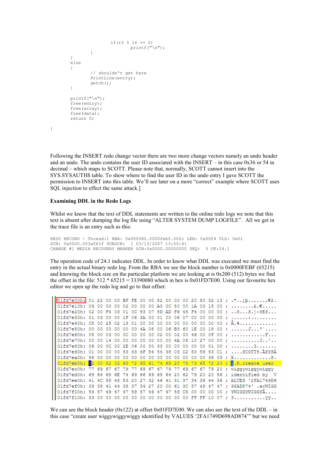```
if(r3 % 16 == 0)
                 \texttt{printf}(\texttt{''}\backslash n\texttt{''}); } 
 } 
         else 
         { 
                  // shouldn't get here 
                 PrintLine(entry); 
         getch(); 
 } 
         printf("\n"); 
        <sub>-</sub><br>free(entry);
         free(array); 
         free(data); 
         return 0;
```
Following the INSERT redo change vector there are two more change vectors namely an undo header and an undo. The undo contains the user ID associated with the INSERT – in this case 0x36 or 54 in decimal – which maps to SCOTT. Please note that, normally, SCOTT cannot insert into the SYS.SYSAUTH\$ table. To show where to find the user ID in the undo entry I gave SCOTT the permission to INSERT into this table. We'll see later on a more "correct" example where SCOTT uses SQL injection to effect the same attack.]

## Examining DDL in the Redo Logs

}

Whilst we know that the text of DDL statements are written to the online redo logs we note that this text is absent after dumping the log file using "ALTER SYSTEM DUMP LOGFILE". All we get in the trace file is an entry such as this:

REDO RECORD - Thread:1 RBA: 0x000082.0000febf.002c LEN: 0x00f4 VLD: 0x01 SCN: 0x0000.003a061f SUBSCN: 1 03/13/2007 13:55:41 CHANGE #1 MEDIA RECOVERY MARKER SCN:0x0000.00000000 SEQ: 0 OP:24.1

The operation code of 24.1 indicates DDL. In order to know what DDL was executed we must find the entry in the actual binary redo log. From the RBA we see the block number is 0x0000FEBF (65215) and knowing the block size on the particular platform we are looking at is  $0x200 (512)$  bytes we find the offset in the file:  $512 * 65215 = 33390080$  which in hex is 0x01FD7E00. Using our favourite hex editor we open up the redo log and go to that offset:

01fd7e00h: 01 22 00 00 BF FE 00 00 82 00 00 00 2C 80 32 13 ; ."..¿b..,...,€2. 01fd7e20h: 02 00 F4 03 01 0C 53 07 5D AD F6 45 F4 00 00 00 ; .. ô...S.]-öEô... 01fd7e30h: 01 03 00 00 1F 06 3A 00 01 00 06 07 00 00 00 00 ; ......:......... 01fd7e40h: C5 0C 25 02 18 01 00 00 00 00 00 00 00 00 00 00 ; Å.%............. 01fd7e50h: 00 00 00 00 00 00 4A 08 00 06 B3 60 1E 00 18 00 ; ......J...<sup>3</sup>'.... 01fd7e60h: 05 00 03 00 0C 00 00 00 02 00 02 00 46 00 0F 00 ; ...........F... 01fd7e70h: 00 00 14 00 00 00 00 00 00 00 4A 08 10 27 00 00 : .................. 01fd7e80h: 06 00 0C 00 2E 06 00 00 33 00 00 00 00 00 01 00 ; ........3....... 01fd7e90h: 01 00 00 00 53 43 4F 54 54 38 03 C2 53 59 53 C1 ; ....SCOTT8.ÂSYSÁ 01fd7eb0h: 02 00 52 02 63 72 65 61 74 65 20 75 73 65 72 20 ; .R. create user 01fd7ec0h: 77 69 67 67 79 77 69 67 67 79 77 69 67 67 79 20 ; wiggywiggywiggy 01fd7ed0h: 69 64 65 6E 74 69 66 69 65 64 20 62 79 20 20 56 ; identified by V 01fd7ee0h: 41 4C 55 45 53 20 27 32 46 41 31 37 34 39 44 36 ; ALUES '2FA1749D6 01fd7ef0h: 39 38 41 44 38 37 34 27 20 00 61 3C 57 49 47 47 ; 98AD874' .a<WIGG 01fd7f00h: 59 57 49 47 47 59 57 49 47 47 59 C5 00 00 00 00 ; YWIGGYWIGGYA.... 

We can see the block header  $(0x122)$  at offset  $0x01FD7E00$ . We can also see the text of the DDL – in this case "create user wiggywiggywiggy identified by VALUES '2FA1749D698AD874'" but we need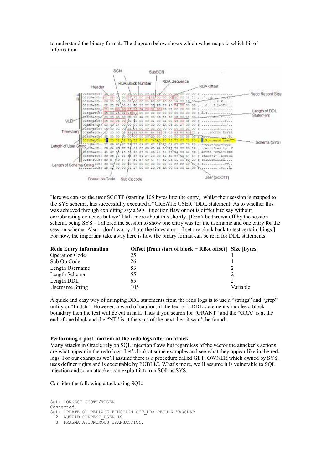to understand the binary format. The diagram below shows which value maps to which bit of information.



Here we can see the user SCOTT (starting 105 bytes into the entry), whilst their session is mapped to the SYS schema, has successfully executed a "CREATE USER" DDL statement. As to whether this was achieved through exploiting say a SQL injection flaw or not is difficult to say without corroborating evidence but we'll talk more about this shortly. [Don't be thrown off by the session schema being SYS – I altered the session to show one entry was for the username and one entry for the session schema. Also – don't worry about the timestamp – I set my clock back to test certain things.] For now, the important take away here is how the binary format can be read for DDL statements.

| <b>Redo Entry Information</b> | Offset [from start of block + RBA offset] Size [bytes] |          |
|-------------------------------|--------------------------------------------------------|----------|
| <b>Operation Code</b>         | 25                                                     |          |
| Sub Op Code                   | 26                                                     |          |
| Length Username               | 53                                                     |          |
| Length Schema                 | 55                                                     |          |
| Length DDL                    | 65                                                     |          |
| <b>Username String</b>        | 105                                                    | Variable |

A quick and easy way of dumping DDL statements from the redo logs is to use a "strings" and "grep" utility or "findstr". However, a word of caution: if the text of a DDL statement straddles a block boundary then the text will be cut in half. Thus if you search for "GRANT" and the "GRA" is at the end of one block and the "NT" is at the start of the next then it won't be found.

#### Performing a post-mortem of the redo logs after an attack

Many attacks in Oracle rely on SQL injection flaws but regardless of the vector the attacker's actions are what appear in the redo logs. Let's look at some examples and see what they appear like in the redo logs. For our examples we'll assume there is a procedure called GET\_OWNER which owned by SYS, uses definer rights and is executable by PUBLIC. What's more, we'll assume it is vulnerable to SQL injection and so an attacker can exploit it to run SQL as SYS.

Consider the following attack using SQL:

SQL> CONNECT SCOTT/TIGER Connected. SQL> CREATE OR REPLACE FUNCTION GET\_DBA RETURN VARCHAR 2 AUTHID CURRENT USER IS 3 PRAGMA AUTONOMOUS TRANSACTION;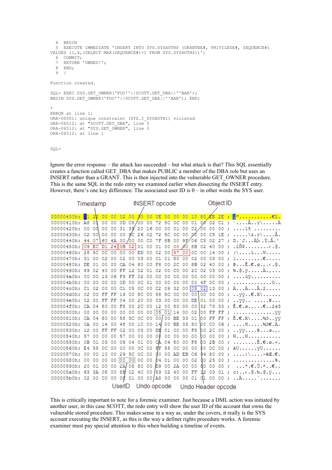```
 4 BEGIN 
   5 EXECUTE IMMEDIATE 'INSERT INTO SYS.SYSAUTH$ (GRANTEE#, PRIVILEGE#, SEQUENCE#) 
VALUES (1,4,(SELECT MAX(SEQUENCE#)+1 FROM SYS.SYSAUTH$))'; 
   6 COMMIT; 
   7 RETURN 'OWNED!'; 
   8 END; 
  QFunction created. 
SQL> EXEC SYS.GET OWNER('FOO''||SCOTT.GET DBA||''BAR');
BEGIN SYS.GET OWNER('FOO''||SCOTT.GET DBA<sup>|</sup>|''BAR'); END;
* 
ERROR at line 1: 
ORA-00001: unique constraint (SYS.I SYSAUTH1) violated
ORA-06512: at "SCOTT.GET_DBA", line 5 
ORA-06512: at "SYS.GET_OWNER", line 3 
ORA-06512: at line 1
```
SQL>

Ignore the error response – the attack has succeeded – but what attack is that? This SQL essentially creates a function called GET\_DBA that makes PUBLIC a member of the DBA role but uses an INSERT rather than a GRANT. This is then injected into the vulnerable GET\_OWNER procedure. This is the same SQL in the redo entry we examined earlier when dissecting the INSERT entry. However, there's one key difference. The associated user ID is 0 – in other words the SYS user.

|                                                             | Timestamp      |       |       |    |                 |                 |                |           | <b>INSERT</b> opcode             |    |          |                |       |                    | Object ID      |            |  |                                                                                   |  |  |
|-------------------------------------------------------------|----------------|-------|-------|----|-----------------|-----------------|----------------|-----------|----------------------------------|----|----------|----------------|-------|--------------------|----------------|------------|--|-----------------------------------------------------------------------------------|--|--|
| 00000400h:                                                  | la 1           |       |       |    |                 |                 |                |           |                                  |    |          |                |       |                    |                |            |  | 22 00 00 02 00 00 00 0E 00 00 00 10 80 ÆE 2E ; €î.                                |  |  |
| 00000410h: A8                                               |                | 01    | 00 00 |    |                 |                 |                |           |                                  |    |          |                |       |                    |                |            |  | OD C5/00 00 72 5C 0C 00 01 00 02 C1; " $\AA$ r\ $\AA$                             |  |  |
| 00000420h:                                                  | 00             |       | 00000 |    |                 |                 |                |           |                                  |    |          |                |       |                    |                |            |  | 00 31 35 20 16 00 00 01 00 02 60 00 00 ; 15                                       |  |  |
| 00000430h: 02                                               |                |       | 00 00 | 00 |                 |                 |                |           |                                  |    |          |                |       |                    |                |            |  | 00 5C 26 02 72 5C 0C 00 00 00 C5 1E ; \&.r\Å.                                     |  |  |
| 00000440h:                                                  | 44             |       |       |    |                 |                 |                |           |                                  |    |          |                |       |                    |                |            |  | 07\60 4A 00/00 00 C0 7F 8B 00 9E/06 C5 02 27 ; D.`JÀK.Ÿ.Ă.'                       |  |  |
| 00000450h:                                                  | $ 09 $ EC D1   |       |       |    |                 |                 |                |           |                                  |    |          |                |       |                    |                |            |  | $24$ 0B 02 01 00 01 00 00 20 8B 02 40 00 ; .iÑ\$                                  |  |  |
| 00000460h: 28 5C 0C 00                                      |                |       |       |    | 00 00 ED 00     |                 |                |           | 02                               |    |          |                |       |                    |                |            |  |                                                                                   |  |  |
| 00000470h:                                                  | 31             | 00    | 02    | 00 | 02              | 00.             | 03             | 00        | 01                               |    | 01 80    | 00             |       | 02 00              |                | 0300:      |  | $1, \ldots, \ldots, \epsilon, \ldots$                                             |  |  |
| 00000480h:                                                  | DE.            | 01    | 00    | 00 |                 | CA 04 80        |                | 00        | F8                               |    | 00 2C    | 00             |       |                    |                |            |  | 8B 02 40 00 ; <b>ÞÈ.€.</b> ø.,.‹. <b>@.</b>                                       |  |  |
| 00000490h:                                                  | 89             | 02    | -40   |    |                 |                 |                |           |                                  |    |          |                |       |                    |                |            |  | 00 FF 12 02 01 02 00 C0 00 2C 02 03 00 ; %.0. $\ddot{y}$ $\dot{A}$ .,             |  |  |
| 000004a0h:                                                  | 00             | 00    | -13   |    |                 |                 |                |           | 06 F9 FF 02 00 00 00 00 00 00 00 |    |          |                |       |                    |                | 0000:      |  | . ùÿ.                                                                             |  |  |
| 000004b0h:                                                  | 00             | 00    | 00    | 00 | OD 00           |                 | OC 01          |           | 00                               | 00 | 00       | 00             | 00    | 4F                 | OC             |            |  | 00 :                                                                              |  |  |
| 000004c0h: C1 02                                            |                |       | 00    |    | 00 C1 05        |                 |                | $OC$ $OO$ | C2                               | 09 | -32      |                |       |                    |                |            |  | 00 05 02 13 00 ; $\hat{A} \dots \hat{A} \dots \hat{A} \cdot 2 \dots$              |  |  |
| 000004d0h:                                                  | 02             | 00    | FF    | FF | 19              | 00              | 80             |           | 00 58 5C 0C 00 00 00 00 00 ;     |    |          |                |       |                    |                |            |  | $\ldots \triangledown \triangledown \ldots \in X \setminus \ldots \ldots$         |  |  |
| 000004e0h:                                                  | 02             | 00    | FF    | FF |                 |                 |                |           | 04 00 20 00 03 00 00             |    |          | 00             |       | DE 01 00           |                |            |  |                                                                                   |  |  |
| 000004f0h: CA 04 80 00 F8 00 2C 00 12 00 80 00 00 32        |                |       |       |    |                 |                 |                |           |                                  |    |          |                |       |                    |                |            |  | 73 33 ; Ê.€.ø.,€2s3                                                               |  |  |
| 00000500h: 00 00 00 00 00 00 00 00 05 01 14 00 02 00 FF FF; |                |       |       |    |                 |                 |                |           |                                  |    |          |                |       |                    |                |            |  | . <del>00</del>                                                                   |  |  |
| 00000510h: CA 04 80                                         |                |       |       | 00 | 58              | <b>5C</b>       | $OC$ $OO$      |           |                                  |    |          | 00100 BE 33 01 |       |                    |                |            |  | $ 00 \rangle$ FF FF ; $\hat{E}$ .E.X\%300                                         |  |  |
| 00000520h:                                                  |                | 0A 00 | 14    | 00 | 48              | 00 <sup>o</sup> | 1 <sup>C</sup> | 00        |                                  |    |          | 14 00 BE 33 80 |       | 00                 | C <sub>0</sub> |            |  | $06; \ldots, H, \ldots, 36; A.$                                                   |  |  |
| 00000530h:                                                  | 12             | 00    | FF    | FF | 02              | 00              | 03             | 00        | DE 01 00 00 F8                   |    |          |                |       |                    |                | 00 2C 00 ; |  | $\ldots \overline{y} \overline{y} \ldots \overline{z} \ldots \overline{z} \ldots$ |  |  |
| 00000540h:                                                  | - 57           | 00    | 00    | 00 | 57              | 00              | 00             | 00        | 00                               | 00 | 00       |                | 00 00 | bo                 | 00             |            |  | 00 ; WW                                                                           |  |  |
| 00000550h:                                                  | 0 <sub>B</sub> | 0103  |       | 00 | 08              | 04              | 01             | 00        |                                  |    | CA 04 80 | 00             | F8    |                    |                |            |  | 00 2B 00 ; Ê.€.ø.+.                                                               |  |  |
| 00000560h: E4                                               |                | 55 OC |       | 00 | 00 <sub>1</sub> |                 | 00 0C 00       |           |                                  |    |          | FF 55 0C 00 00 |       |                    |                |            |  | 00 OC 00 ; äUÿU                                                                   |  |  |
| 00000570h:                                                  | 00             | 00    | 10    | 00 |                 | 29 5C           | $OC$ $OO$      |           | 00                               | 00 | AD EB    |                | C6    |                    | 04 80          |            |  | 00 ; $\ldots$ ) \ - $\in \mathbb{Z}$ . $\epsilon$ .                               |  |  |
| 00000580h:                                                  | 00             | 00    | 00    | 00 | 00              | 00              | 00 00          |           | 04                               |    | 01 00 00 |                | 02    |                    |                | 002500;    |  | . 8 .                                                                             |  |  |
| 00000590h:                                                  | 20             | 0100  |       | 00 |                 |                 | 2A 08 80 00    |           | D9 00 2A 00 00                   |    |          |                |       |                    |                | 80 00 00 ; |  | *.€.ῢ.*€                                                                          |  |  |
| 000005a0h: 63 3A 08                                         |                |       |       | 00 |                 | 8B 02 40        |                |           |                                  |    |          |                |       |                    |                |            |  | 00 89 02 40 00 FF 12 03 01 : c:8. %.8. 0. $\dot{v}$                               |  |  |
| 000005b0h: 02 00 C0                                         |                |       |       |    | 00 OC 01        |                 |                |           | 00 00 A8 00 00 00 01 01          |    |          |                |       |                    | 00             |            |  | 00 ; $\ldots$ $\lambda$                                                           |  |  |
|                                                             |                |       |       |    | UserID          |                 |                |           | Undo opcode                      |    |          |                |       | Undo Header opcode |                |            |  |                                                                                   |  |  |

This is critically important to note for a forensic examiner. Just because a DML action was initiated by another user, in this case SCOTT, the redo entry will show the user ID of the account that owns the vulnerable stored procedure. This makes sense in a way as, under the covers, it really is the SYS account executing the INSERT, as this is the way a definer rights procedure works. A forensic examiner must pay special attention to this when building a timeline of events.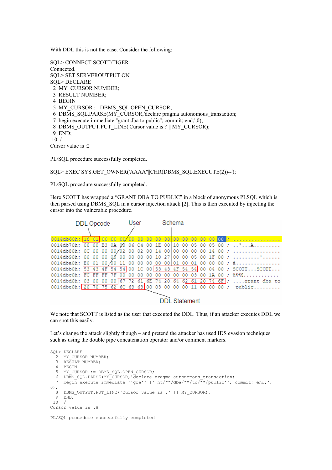With DDL this is not the case. Consider the following:

SQL> CONNECT SCOTT/TIGER Connected. SQL> SET SERVEROUTPUT ON SQL> DECLARE 2 MY\_CURSOR NUMBER; 3 RESULT NUMBER; 4 BEGIN 5 MY\_CURSOR := DBMS\_SQL.OPEN\_CURSOR; 6 DBMS\_SQL.PARSE(MY\_CURSOR,'declare pragma autonomous\_transaction; 7 begin execute immediate ''grant dba to public''; commit; end;',0); 8 DBMS\_OUTPUT.PUT\_LINE('Cursor value is :' || MY\_CURSOR); 9 END;  $10 /$ Cursor value is  $\cdot$ 2

PL/SQL procedure successfully completed.

SQL> EXEC SYS.GET\_OWNER('AAAA''||CHR(DBMS\_SQL.EXECUTE(2))--');

PL/SQL procedure successfully completed.

Here SCOTT has wrapped a "GRANT DBA TO PUBLIC" in a block of anonymous PLSQL which is then parsed using DBMS\_SQL in a cursor injection attack [2]. This is then executed by injecting the cursor into the vulnerable procedure.

|  | <b>DDL</b> Opcode |  |  |  |  |  |  |  |  | Schema |  |             |  |  |                                                                           |
|--|-------------------|--|--|--|--|--|--|--|--|--------|--|-------------|--|--|---------------------------------------------------------------------------|
|  |                   |  |  |  |  |  |  |  |  |        |  |             |  |  |                                                                           |
|  |                   |  |  |  |  |  |  |  |  |        |  |             |  |  |                                                                           |
|  |                   |  |  |  |  |  |  |  |  |        |  |             |  |  | 0014db70h: 00 00 B3 0A 00 06 C4 00 1E 00 18 00 05 00 05 00 ;              |
|  |                   |  |  |  |  |  |  |  |  |        |  |             |  |  | 0014db80h: 0C 00 00 00/02 00 02 00 14 00 00 00 00 00 00 14 00 :           |
|  |                   |  |  |  |  |  |  |  |  |        |  |             |  |  | 0014db90h: 00 00 00 00 00 00 00 00 10 27 00 00 05 00 1F 00 ; '            |
|  |                   |  |  |  |  |  |  |  |  |        |  |             |  |  | 0014dba0h: E0 01 00 60 11 00 00 00 00 00 01 00 01 00 00 00 ; à            |
|  |                   |  |  |  |  |  |  |  |  |        |  |             |  |  | 0014dbb0h: 53 43 4F 54 54 00 1C 00 53 43 4F 54 54 00 04 00 ; SCOTTSCOTT   |
|  |                   |  |  |  |  |  |  |  |  |        |  |             |  |  | 0014dbc0h: FC FF FF 7F 00 00 00 00 00 00 00 00 00 03 00 1A 00; üÿÿl       |
|  |                   |  |  |  |  |  |  |  |  |        |  |             |  |  | 0014dbd0h: 03 00 00 00 67 72 61 6E 74 20 64 62 61 20 74 6F;  grant dba to |
|  |                   |  |  |  |  |  |  |  |  |        |  |             |  |  | 0014dbe0h: 20 70 75 62 6C 69 63 00 03 00 00 00 11 00 00 00 ; public       |
|  |                   |  |  |  |  |  |  |  |  |        |  |             |  |  |                                                                           |
|  |                   |  |  |  |  |  |  |  |  |        |  | L Statement |  |  |                                                                           |

We note that SCOTT is listed as the user that executed the DDL. Thus, if an attacker executes DDL we can spot this easily.

Let's change the attack slightly though – and pretend the attacker has used IDS evasion techniques such as using the double pipe concatenation operator and/or comment markers.

```
SQL> DECLARE 
  2 MY CURSOR NUMBER;
   3 RESULT NUMBER; 
  4 BEGIN 
 5 MY CURSOR := DBMS SQL.OPEN CURSOR;
 6 DBMS SQL.PARSE(MY_CURSOR, declare pragma autonomous transaction;
   7 begin execute immediate ''gra''||''nt/**/dba/**/to/**/public''; commit; end;', 
0); 
 8 DBMS OUTPUT.PUT_LINE('Cursor value is :' || MY_CURSOR);
  9 END; 
 10 / 
Cursor value is :8 
PL/SQL procedure successfully completed.
```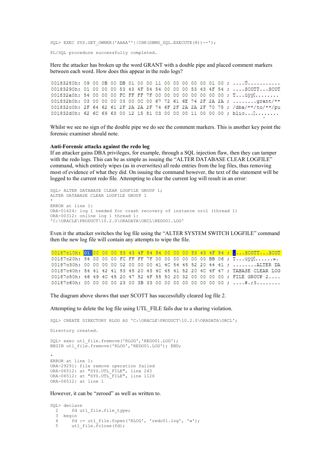SOL> EXEC SYS.GET OWNER('AAAA''||CHR(DBMS SOL.EXECUTE(8))--');

PL/SQL procedure successfully completed.

Here the attacker has broken up the word GRANT with a double pipe and placed comment markers between each word. How does this appear in the redo logs?

00183280h: 09 00 0B 00 DB 01 00 00 11 00 00 00 00 00 01 00 ; .... U........... 00183290h: 01 00 00 00 53 43 4F 54 54 00 00 00 53 43 4F 54 ; .... SCOTT... SCOT 001832a0h: 54 00 00 00 FC FF FF 7F 00 00 00 00 00 00 00 00 ; T... Gyy[........ 001832b0h: 03 00 00 00 03 00 0C 00 67 72 61 6E 74 2F 2A 2A ; .......grant/\*\* 001832c0h: 2F 64 62 61 2F 2A 2A 2F 74 6F 2F 2A 2A 2F 70 75 ; /dba/\*\*/to/\*\*/pu 001832d0h: 62 6C 69 63 00 12 15 81 03 00 00 00 11 00 00 00 ; blic... [........

Whilst we see no sign of the double pipe we do see the comment markers. This is another key point the forensic examiner should note.

# Anti-Forensic attacks against the redo log

If an attacker gains DBA privileges, for example, through a SQL injection flaw, then they can tamper with the redo logs. This can be as simple as issuing the "ALTER DATABASE CLEAR LOGFILE" command, which entirely wipes (as in overwrites) all redo entries from the log files, thus removing most of evidence of what they did. On issuing the command however, the text of the statement will be logged to the current redo file. Attempting to clear the current log will result in an error:

SQL> ALTER DATABASE CLEAR LOGFILE GROUP 1; ALTER DATABASE CLEAR LOGFILE GROUP 1 \* ERROR at line 1: ORA-01624: log 1 needed for crash recovery of instance orcl (thread 1) ORA-00312: online log 1 thread 1: 'C:\ORACLE\PRODUCT\10.2.0\ORADATA\ORCL\REDO01.LOG'

Even it the attacker switches the log file using the "ALTER SYSTEM SWITCH LOGFILE" command then the new log file will contain any attempts to wipe the file.

00187c10h: 01 00 00 00 53 43 4F 54 54 00 00 00 53 43 4F 54 ; ...SCOTT...SCOT 00187c20h: 54 00 00 00 FC FF FF 7F 00 00 00 00 00 00 BB 06 ; T... 01991........ 00187c30h: 00 00 00 00 02 00 00 00 41 4C 54 45 52 20 44 41 ; .......ALTER DA 00187c40h: 54 41 42 41 53 45 20 43 4C 45 41 52 20 4C 4F 47 ; TABASE CLEAR LOG 00187c50h: 46 49 4C 45 20 47 52 4F 55 50 20 32 00 00 00 00 ; FILE GROUP 2.... 00187c60h: 00 00 00 00 23 00 3B 33 00 00 00 00 00 00 00 00 ; ....#.;3........

The diagram above shows that user SCOTT has successfully cleared log file 2.

Attempting to delete the log file using UTL\_FILE fails due to a sharing violation.

SQL> CREATE DIRECTORY RLOG AS 'C:\ORACLE\PRODUCT\10.2.0\ORADATA\ORCL';

Directory created.

SQL> exec utl\_file.fremove('RLOG','REDO01.LOG'); BEGIN utl file.fremove('RLOG','REDO01.LOG'); END;

\* ERROR at line 1: ORA-29291: file remove operation failed ORA-06512: at "SYS.UTL\_FILE", line 243 ORA-06512: at "SYS.UTL\_FILE", line 1126 ORA-06512: at line 1

However, it can be "zeroed" as well as written to.

```
SQL> declare<br>2 fd u
         fd utl file.file type;
   3 begin 
  4 fd := \text{utl_file.fopen('RLOG', 'redo01.log', 'w');<br>5 utl file.folose(fd):
          utl file.Fclose(fd);
```